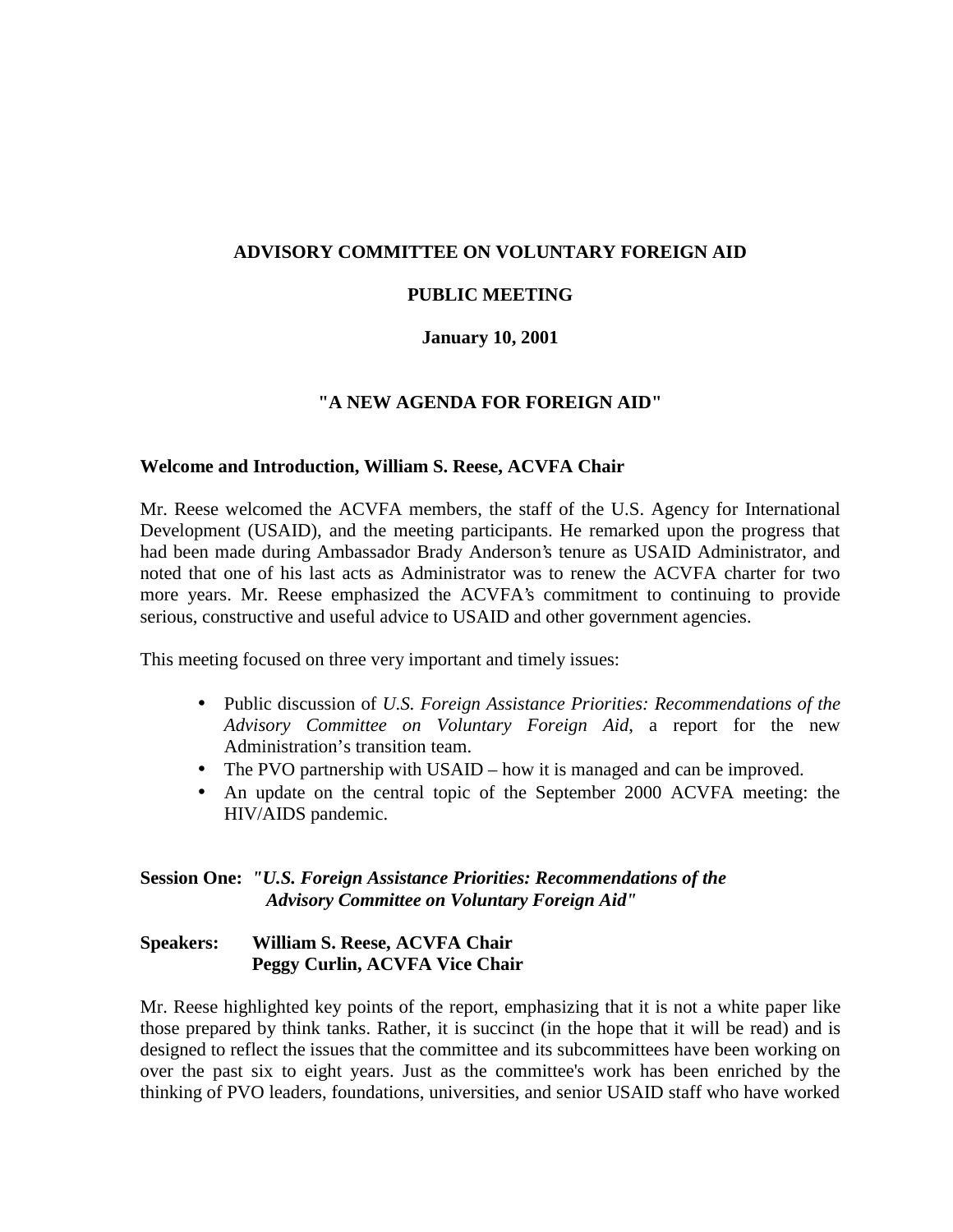### **ADVISORY COMMITTEE ON VOLUNTARY FOREIGN AID**

# **PUBLIC MEETING**

#### **January 10, 2001**

#### **"A NEW AGENDA FOR FOREIGN AID"**

#### **Welcome and Introduction, William S. Reese, ACVFA Chair**

Mr. Reese welcomed the ACVFA members, the staff of the U.S. Agency for International Development (USAID), and the meeting participants. He remarked upon the progress that had been made during Ambassador Brady Anderson's tenure as USAID Administrator, and noted that one of his last acts as Administrator was to renew the ACVFA charter for two more years. Mr. Reese emphasized the ACVFA's commitment to continuing to provide serious, constructive and useful advice to USAID and other government agencies.

This meeting focused on three very important and timely issues:

- Public discussion of *U.S. Foreign Assistance Priorities: Recommendations of the Advisory Committee on Voluntary Foreign Aid*, a report for the new Administration's transition team.
- The PVO partnership with USAID how it is managed and can be improved.
- An update on the central topic of the September 2000 ACVFA meeting: the HIV/AIDS pandemic.

### **Session One:** *"U.S. Foreign Assistance Priorities: Recommendations of the Advisory Committee on Voluntary Foreign Aid"*

### **Speakers: William S. Reese, ACVFA Chair Peggy Curlin, ACVFA Vice Chair**

Mr. Reese highlighted key points of the report, emphasizing that it is not a white paper like those prepared by think tanks. Rather, it is succinct (in the hope that it will be read) and is designed to reflect the issues that the committee and its subcommittees have been working on over the past six to eight years. Just as the committee's work has been enriched by the thinking of PVO leaders, foundations, universities, and senior USAID staff who have worked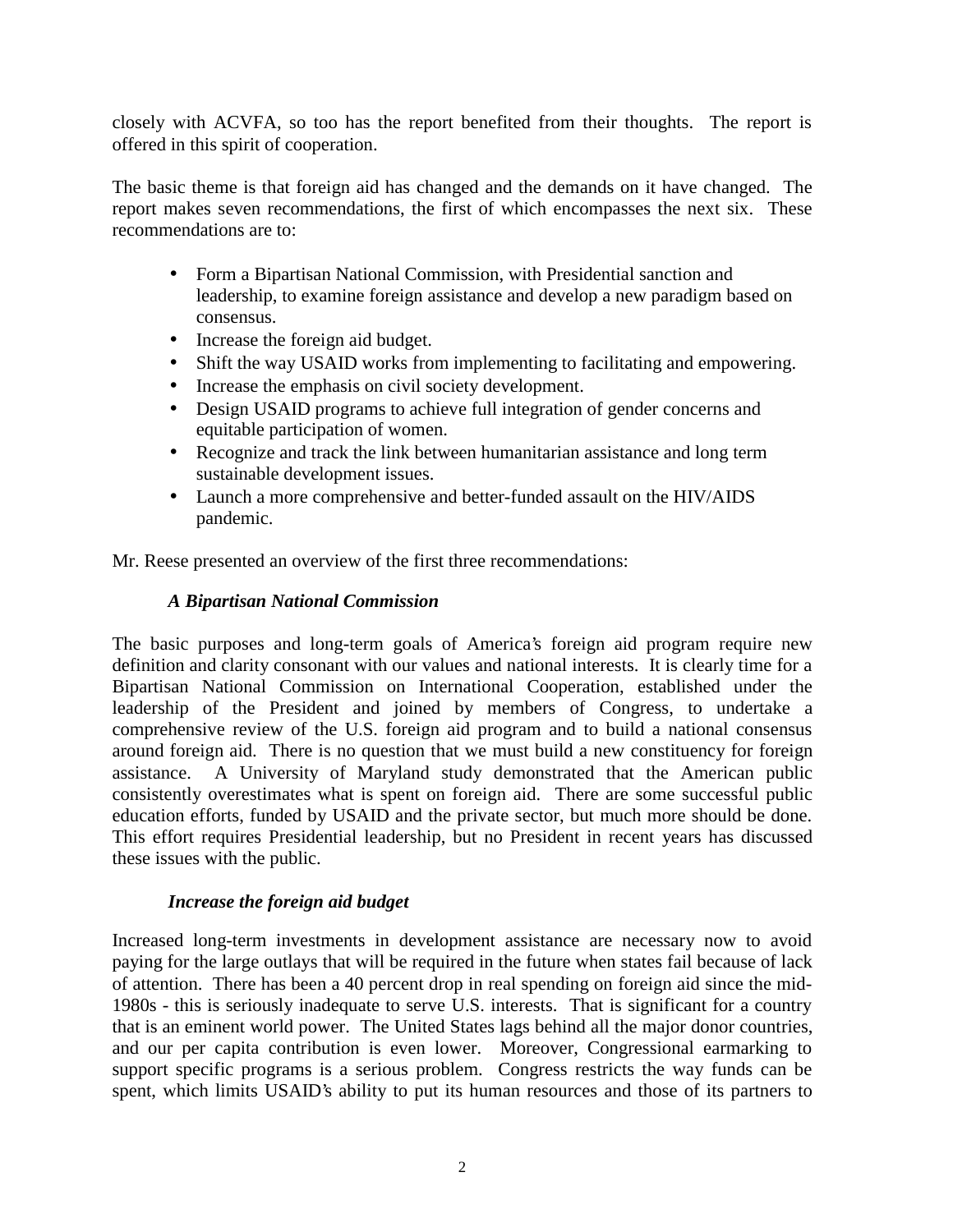closely with ACVFA, so too has the report benefited from their thoughts. The report is offered in this spirit of cooperation.

The basic theme is that foreign aid has changed and the demands on it have changed. The report makes seven recommendations, the first of which encompasses the next six. These recommendations are to:

- Form a Bipartisan National Commission, with Presidential sanction and leadership, to examine foreign assistance and develop a new paradigm based on consensus.
- Increase the foreign aid budget.
- Shift the way USAID works from implementing to facilitating and empowering.
- Increase the emphasis on civil society development.
- Design USAID programs to achieve full integration of gender concerns and equitable participation of women.
- Recognize and track the link between humanitarian assistance and long term sustainable development issues.
- Launch a more comprehensive and better-funded assault on the HIV/AIDS pandemic.

Mr. Reese presented an overview of the first three recommendations:

### *A Bipartisan National Commission*

The basic purposes and long-term goals of America's foreign aid program require new definition and clarity consonant with our values and national interests. It is clearly time for a Bipartisan National Commission on International Cooperation, established under the leadership of the President and joined by members of Congress, to undertake a comprehensive review of the U.S. foreign aid program and to build a national consensus around foreign aid. There is no question that we must build a new constituency for foreign assistance. A University of Maryland study demonstrated that the American public consistently overestimates what is spent on foreign aid. There are some successful public education efforts, funded by USAID and the private sector, but much more should be done. This effort requires Presidential leadership, but no President in recent years has discussed these issues with the public.

### *Increase the foreign aid budget*

Increased long-term investments in development assistance are necessary now to avoid paying for the large outlays that will be required in the future when states fail because of lack of attention. There has been a 40 percent drop in real spending on foreign aid since the mid-1980s - this is seriously inadequate to serve U.S. interests. That is significant for a country that is an eminent world power. The United States lags behind all the major donor countries, and our per capita contribution is even lower. Moreover, Congressional earmarking to support specific programs is a serious problem. Congress restricts the way funds can be spent, which limits USAID's ability to put its human resources and those of its partners to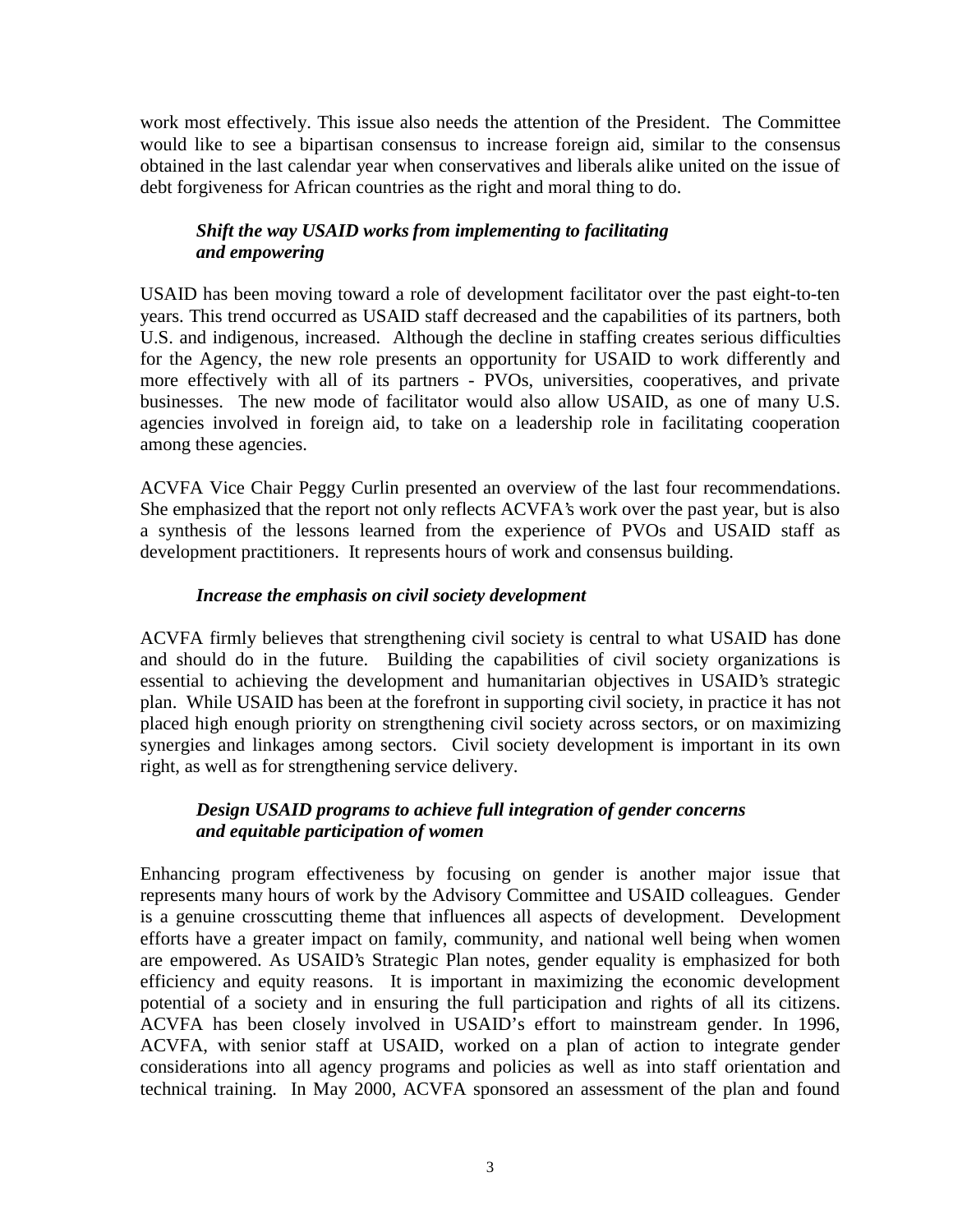work most effectively. This issue also needs the attention of the President. The Committee would like to see a bipartisan consensus to increase foreign aid, similar to the consensus obtained in the last calendar year when conservatives and liberals alike united on the issue of debt forgiveness for African countries as the right and moral thing to do.

# *Shift the way USAID works from implementing to facilitating and empowering*

USAID has been moving toward a role of development facilitator over the past eight-to-ten years. This trend occurred as USAID staff decreased and the capabilities of its partners, both U.S. and indigenous, increased. Although the decline in staffing creates serious difficulties for the Agency, the new role presents an opportunity for USAID to work differently and more effectively with all of its partners - PVOs, universities, cooperatives, and private businesses. The new mode of facilitator would also allow USAID, as one of many U.S. agencies involved in foreign aid, to take on a leadership role in facilitating cooperation among these agencies.

ACVFA Vice Chair Peggy Curlin presented an overview of the last four recommendations. She emphasized that the report not only reflects ACVFA's work over the past year, but is also a synthesis of the lessons learned from the experience of PVOs and USAID staff as development practitioners. It represents hours of work and consensus building.

### *Increase the emphasis on civil society development*

ACVFA firmly believes that strengthening civil society is central to what USAID has done and should do in the future. Building the capabilities of civil society organizations is essential to achieving the development and humanitarian objectives in USAID's strategic plan. While USAID has been at the forefront in supporting civil society, in practice it has not placed high enough priority on strengthening civil society across sectors, or on maximizing synergies and linkages among sectors. Civil society development is important in its own right, as well as for strengthening service delivery.

### *Design USAID programs to achieve full integration of gender concerns and equitable participation of women*

Enhancing program effectiveness by focusing on gender is another major issue that represents many hours of work by the Advisory Committee and USAID colleagues. Gender is a genuine crosscutting theme that influences all aspects of development. Development efforts have a greater impact on family, community, and national well being when women are empowered. As USAID's Strategic Plan notes, gender equality is emphasized for both efficiency and equity reasons. It is important in maximizing the economic development potential of a society and in ensuring the full participation and rights of all its citizens. ACVFA has been closely involved in USAID's effort to mainstream gender. In 1996, ACVFA, with senior staff at USAID, worked on a plan of action to integrate gender considerations into all agency programs and policies as well as into staff orientation and technical training. In May 2000, ACVFA sponsored an assessment of the plan and found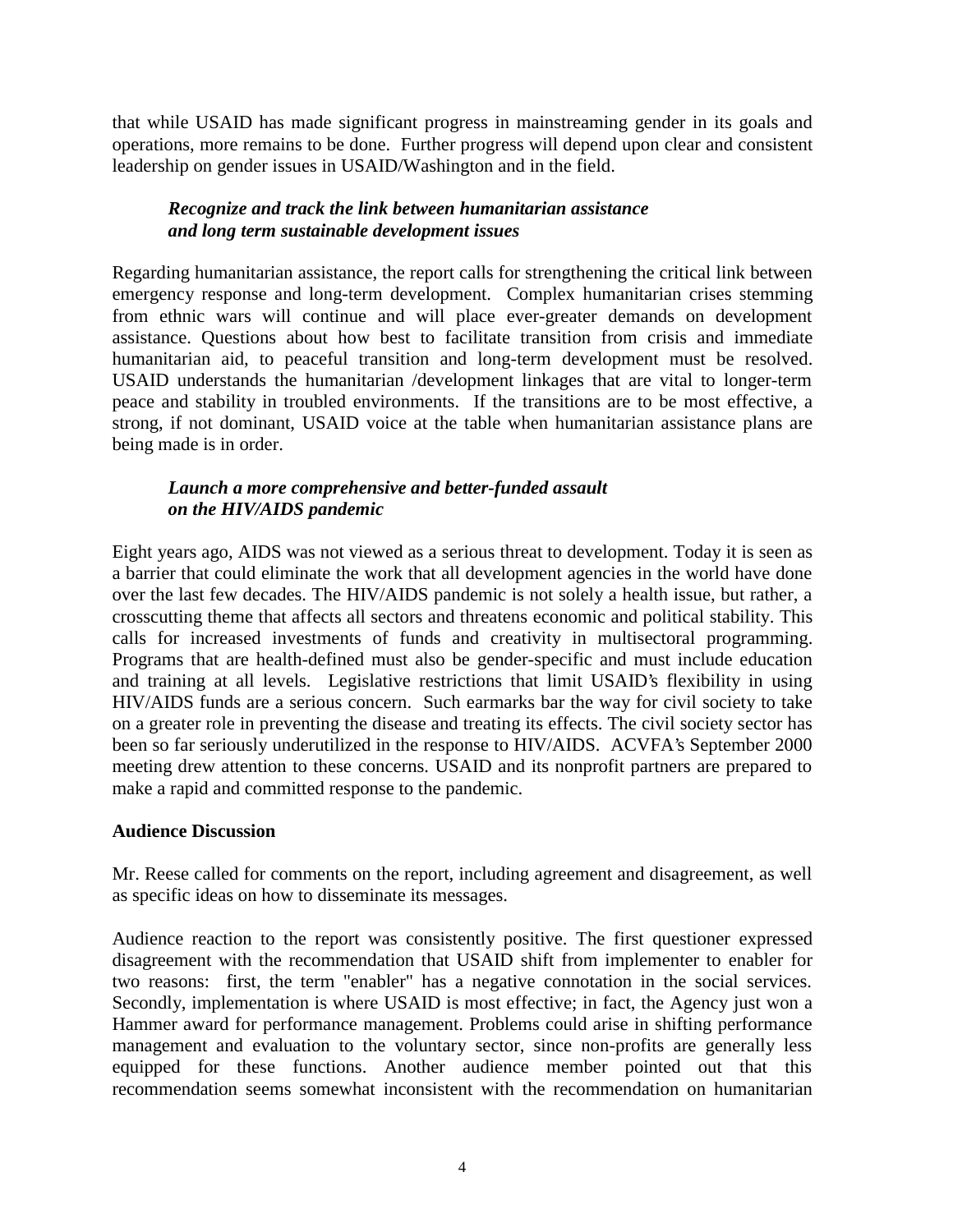that while USAID has made significant progress in mainstreaming gender in its goals and operations, more remains to be done. Further progress will depend upon clear and consistent leadership on gender issues in USAID/Washington and in the field.

# *Recognize and track the link between humanitarian assistance and long term sustainable development issues*

Regarding humanitarian assistance, the report calls for strengthening the critical link between emergency response and long-term development. Complex humanitarian crises stemming from ethnic wars will continue and will place ever-greater demands on development assistance. Questions about how best to facilitate transition from crisis and immediate humanitarian aid, to peaceful transition and long-term development must be resolved. USAID understands the humanitarian /development linkages that are vital to longer-term peace and stability in troubled environments. If the transitions are to be most effective, a strong, if not dominant, USAID voice at the table when humanitarian assistance plans are being made is in order.

# *Launch a more comprehensive and better-funded assault on the HIV/AIDS pandemic*

Eight years ago, AIDS was not viewed as a serious threat to development. Today it is seen as a barrier that could eliminate the work that all development agencies in the world have done over the last few decades. The HIV/AIDS pandemic is not solely a health issue, but rather, a crosscutting theme that affects all sectors and threatens economic and political stability. This calls for increased investments of funds and creativity in multisectoral programming. Programs that are health-defined must also be gender-specific and must include education and training at all levels. Legislative restrictions that limit USAID's flexibility in using HIV/AIDS funds are a serious concern. Such earmarks bar the way for civil society to take on a greater role in preventing the disease and treating its effects. The civil society sector has been so far seriously underutilized in the response to HIV/AIDS. ACVFA's September 2000 meeting drew attention to these concerns. USAID and its nonprofit partners are prepared to make a rapid and committed response to the pandemic.

# **Audience Discussion**

Mr. Reese called for comments on the report, including agreement and disagreement, as well as specific ideas on how to disseminate its messages.

Audience reaction to the report was consistently positive. The first questioner expressed disagreement with the recommendation that USAID shift from implementer to enabler for two reasons: first, the term "enabler" has a negative connotation in the social services. Secondly, implementation is where USAID is most effective; in fact, the Agency just won a Hammer award for performance management. Problems could arise in shifting performance management and evaluation to the voluntary sector, since non-profits are generally less equipped for these functions. Another audience member pointed out that this recommendation seems somewhat inconsistent with the recommendation on humanitarian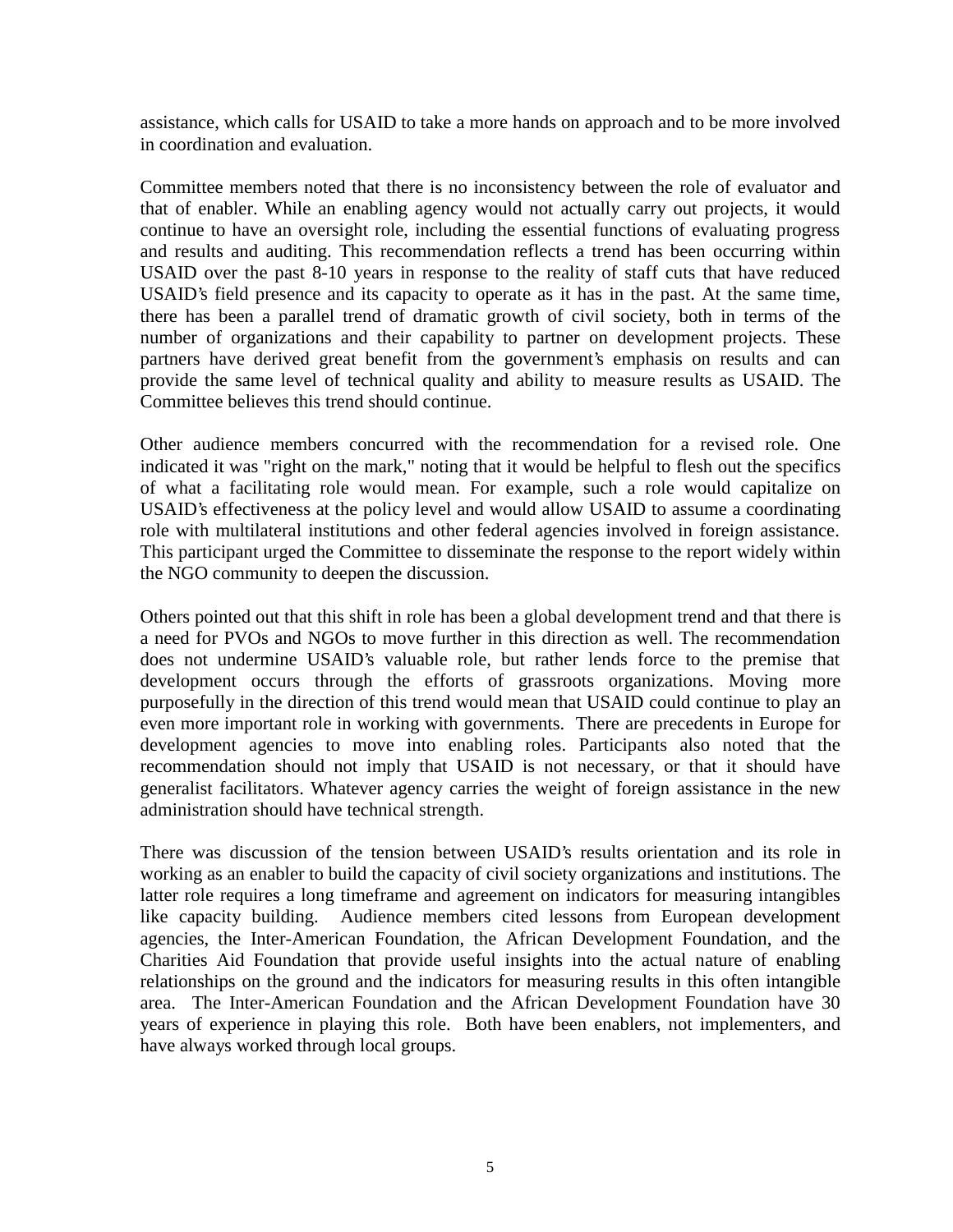assistance, which calls for USAID to take a more hands on approach and to be more involved in coordination and evaluation.

Committee members noted that there is no inconsistency between the role of evaluator and that of enabler. While an enabling agency would not actually carry out projects, it would continue to have an oversight role, including the essential functions of evaluating progress and results and auditing. This recommendation reflects a trend has been occurring within USAID over the past 8-10 years in response to the reality of staff cuts that have reduced USAID's field presence and its capacity to operate as it has in the past. At the same time, there has been a parallel trend of dramatic growth of civil society, both in terms of the number of organizations and their capability to partner on development projects. These partners have derived great benefit from the government's emphasis on results and can provide the same level of technical quality and ability to measure results as USAID. The Committee believes this trend should continue.

Other audience members concurred with the recommendation for a revised role. One indicated it was "right on the mark," noting that it would be helpful to flesh out the specifics of what a facilitating role would mean. For example, such a role would capitalize on USAID's effectiveness at the policy level and would allow USAID to assume a coordinating role with multilateral institutions and other federal agencies involved in foreign assistance. This participant urged the Committee to disseminate the response to the report widely within the NGO community to deepen the discussion.

Others pointed out that this shift in role has been a global development trend and that there is a need for PVOs and NGOs to move further in this direction as well. The recommendation does not undermine USAID's valuable role, but rather lends force to the premise that development occurs through the efforts of grassroots organizations. Moving more purposefully in the direction of this trend would mean that USAID could continue to play an even more important role in working with governments. There are precedents in Europe for development agencies to move into enabling roles. Participants also noted that the recommendation should not imply that USAID is not necessary, or that it should have generalist facilitators. Whatever agency carries the weight of foreign assistance in the new administration should have technical strength.

There was discussion of the tension between USAID's results orientation and its role in working as an enabler to build the capacity of civil society organizations and institutions. The latter role requires a long timeframe and agreement on indicators for measuring intangibles like capacity building. Audience members cited lessons from European development agencies, the Inter-American Foundation, the African Development Foundation, and the Charities Aid Foundation that provide useful insights into the actual nature of enabling relationships on the ground and the indicators for measuring results in this often intangible area. The Inter-American Foundation and the African Development Foundation have 30 years of experience in playing this role. Both have been enablers, not implementers, and have always worked through local groups.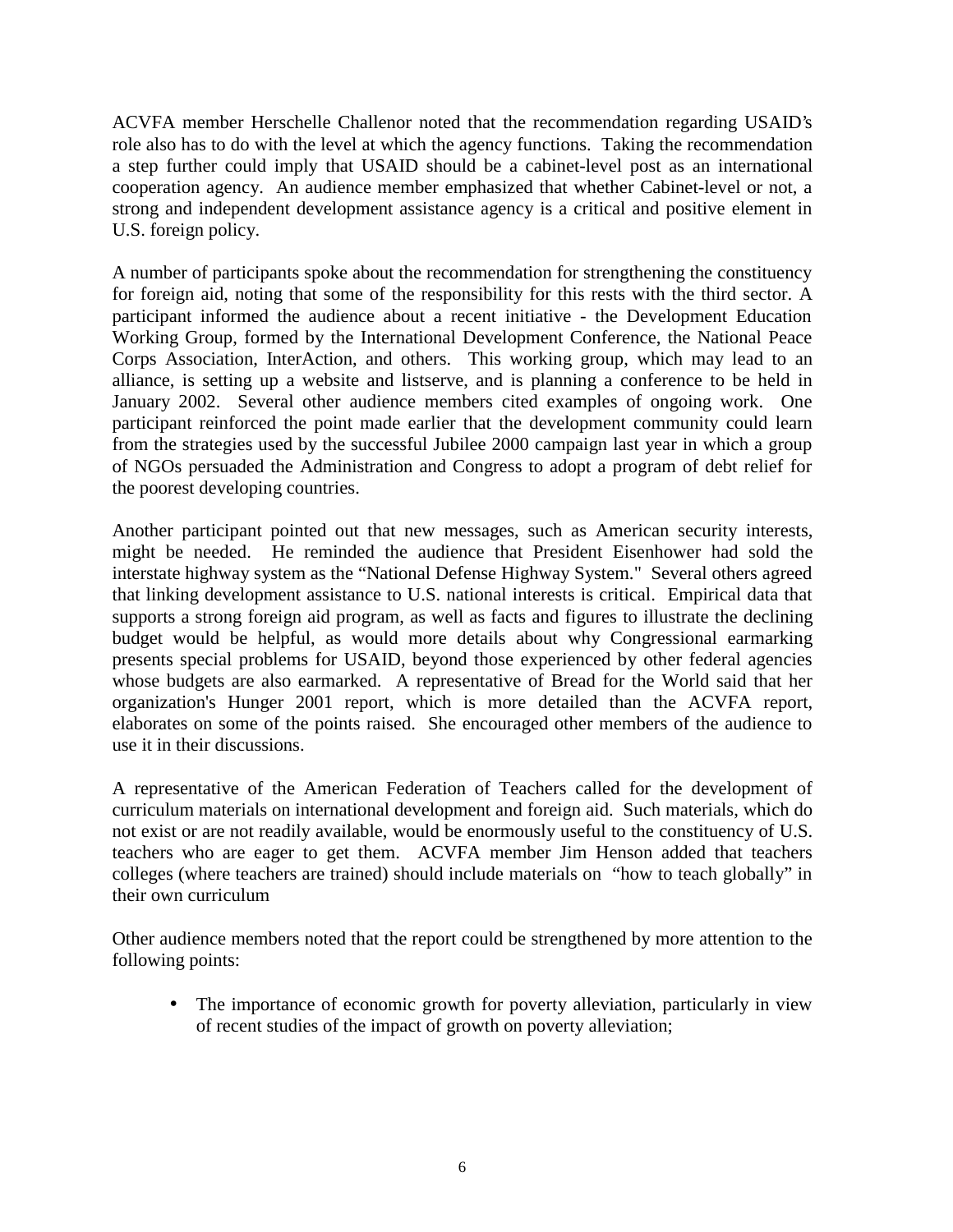ACVFA member Herschelle Challenor noted that the recommendation regarding USAID's role also has to do with the level at which the agency functions. Taking the recommendation a step further could imply that USAID should be a cabinet-level post as an international cooperation agency. An audience member emphasized that whether Cabinet-level or not, a strong and independent development assistance agency is a critical and positive element in U.S. foreign policy.

A number of participants spoke about the recommendation for strengthening the constituency for foreign aid, noting that some of the responsibility for this rests with the third sector. A participant informed the audience about a recent initiative - the Development Education Working Group, formed by the International Development Conference, the National Peace Corps Association, InterAction, and others. This working group, which may lead to an alliance, is setting up a website and listserve, and is planning a conference to be held in January 2002. Several other audience members cited examples of ongoing work. One participant reinforced the point made earlier that the development community could learn from the strategies used by the successful Jubilee 2000 campaign last year in which a group of NGOs persuaded the Administration and Congress to adopt a program of debt relief for the poorest developing countries.

Another participant pointed out that new messages, such as American security interests, might be needed. He reminded the audience that President Eisenhower had sold the interstate highway system as the "National Defense Highway System." Several others agreed that linking development assistance to U.S. national interests is critical. Empirical data that supports a strong foreign aid program, as well as facts and figures to illustrate the declining budget would be helpful, as would more details about why Congressional earmarking presents special problems for USAID, beyond those experienced by other federal agencies whose budgets are also earmarked. A representative of Bread for the World said that her organization's Hunger 2001 report, which is more detailed than the ACVFA report, elaborates on some of the points raised. She encouraged other members of the audience to use it in their discussions.

A representative of the American Federation of Teachers called for the development of curriculum materials on international development and foreign aid. Such materials, which do not exist or are not readily available, would be enormously useful to the constituency of U.S. teachers who are eager to get them. ACVFA member Jim Henson added that teachers colleges (where teachers are trained) should include materials on "how to teach globally" in their own curriculum

Other audience members noted that the report could be strengthened by more attention to the following points:

• The importance of economic growth for poverty alleviation, particularly in view of recent studies of the impact of growth on poverty alleviation;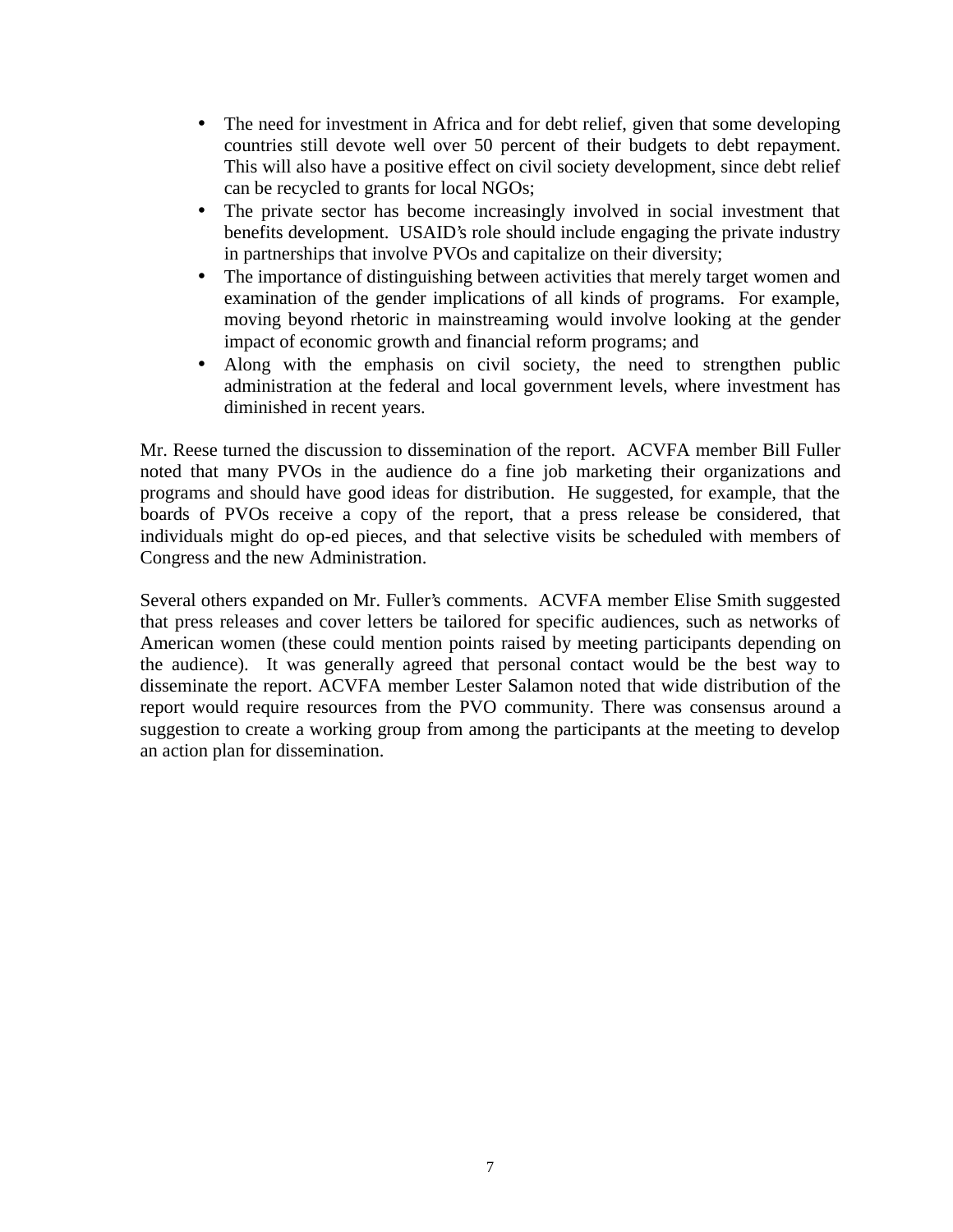- The need for investment in Africa and for debt relief, given that some developing countries still devote well over 50 percent of their budgets to debt repayment. This will also have a positive effect on civil society development, since debt relief can be recycled to grants for local NGOs;
- The private sector has become increasingly involved in social investment that benefits development. USAID's role should include engaging the private industry in partnerships that involve PVOs and capitalize on their diversity;
- The importance of distinguishing between activities that merely target women and examination of the gender implications of all kinds of programs. For example, moving beyond rhetoric in mainstreaming would involve looking at the gender impact of economic growth and financial reform programs; and
- Along with the emphasis on civil society, the need to strengthen public administration at the federal and local government levels, where investment has diminished in recent years.

Mr. Reese turned the discussion to dissemination of the report. ACVFA member Bill Fuller noted that many PVOs in the audience do a fine job marketing their organizations and programs and should have good ideas for distribution. He suggested, for example, that the boards of PVOs receive a copy of the report, that a press release be considered, that individuals might do op-ed pieces, and that selective visits be scheduled with members of Congress and the new Administration.

Several others expanded on Mr. Fuller's comments. ACVFA member Elise Smith suggested that press releases and cover letters be tailored for specific audiences, such as networks of American women (these could mention points raised by meeting participants depending on the audience). It was generally agreed that personal contact would be the best way to disseminate the report. ACVFA member Lester Salamon noted that wide distribution of the report would require resources from the PVO community. There was consensus around a suggestion to create a working group from among the participants at the meeting to develop an action plan for dissemination.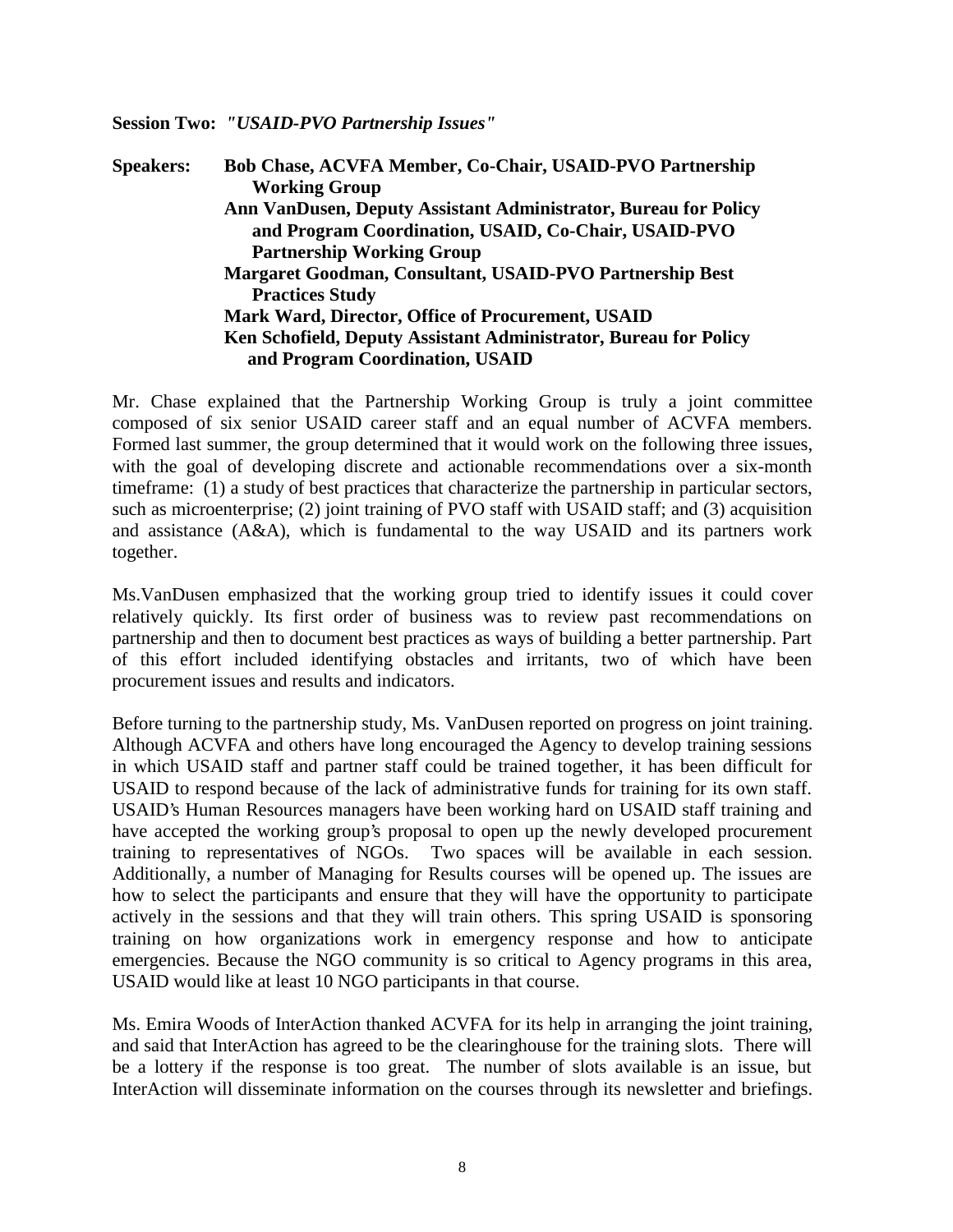#### **Session Two:** *"USAID-PVO Partnership Issues"*

**Speakers: Bob Chase, ACVFA Member, Co-Chair, USAID-PVO Partnership Working Group Ann VanDusen, Deputy Assistant Administrator, Bureau for Policy and Program Coordination, USAID, Co-Chair, USAID-PVO Partnership Working Group Margaret Goodman, Consultant, USAID-PVO Partnership Best Practices Study Mark Ward, Director, Office of Procurement, USAID Ken Schofield, Deputy Assistant Administrator, Bureau for Policy and Program Coordination, USAID**

Mr. Chase explained that the Partnership Working Group is truly a joint committee composed of six senior USAID career staff and an equal number of ACVFA members. Formed last summer, the group determined that it would work on the following three issues, with the goal of developing discrete and actionable recommendations over a six-month timeframe: (1) a study of best practices that characterize the partnership in particular sectors, such as microenterprise; (2) joint training of PVO staff with USAID staff; and (3) acquisition and assistance (A&A), which is fundamental to the way USAID and its partners work together.

Ms.VanDusen emphasized that the working group tried to identify issues it could cover relatively quickly. Its first order of business was to review past recommendations on partnership and then to document best practices as ways of building a better partnership. Part of this effort included identifying obstacles and irritants, two of which have been procurement issues and results and indicators.

Before turning to the partnership study, Ms. VanDusen reported on progress on joint training. Although ACVFA and others have long encouraged the Agency to develop training sessions in which USAID staff and partner staff could be trained together, it has been difficult for USAID to respond because of the lack of administrative funds for training for its own staff. USAID's Human Resources managers have been working hard on USAID staff training and have accepted the working group's proposal to open up the newly developed procurement training to representatives of NGOs. Two spaces will be available in each session. Additionally, a number of Managing for Results courses will be opened up. The issues are how to select the participants and ensure that they will have the opportunity to participate actively in the sessions and that they will train others. This spring USAID is sponsoring training on how organizations work in emergency response and how to anticipate emergencies. Because the NGO community is so critical to Agency programs in this area, USAID would like at least 10 NGO participants in that course.

Ms. Emira Woods of InterAction thanked ACVFA for its help in arranging the joint training, and said that InterAction has agreed to be the clearinghouse for the training slots. There will be a lottery if the response is too great. The number of slots available is an issue, but InterAction will disseminate information on the courses through its newsletter and briefings.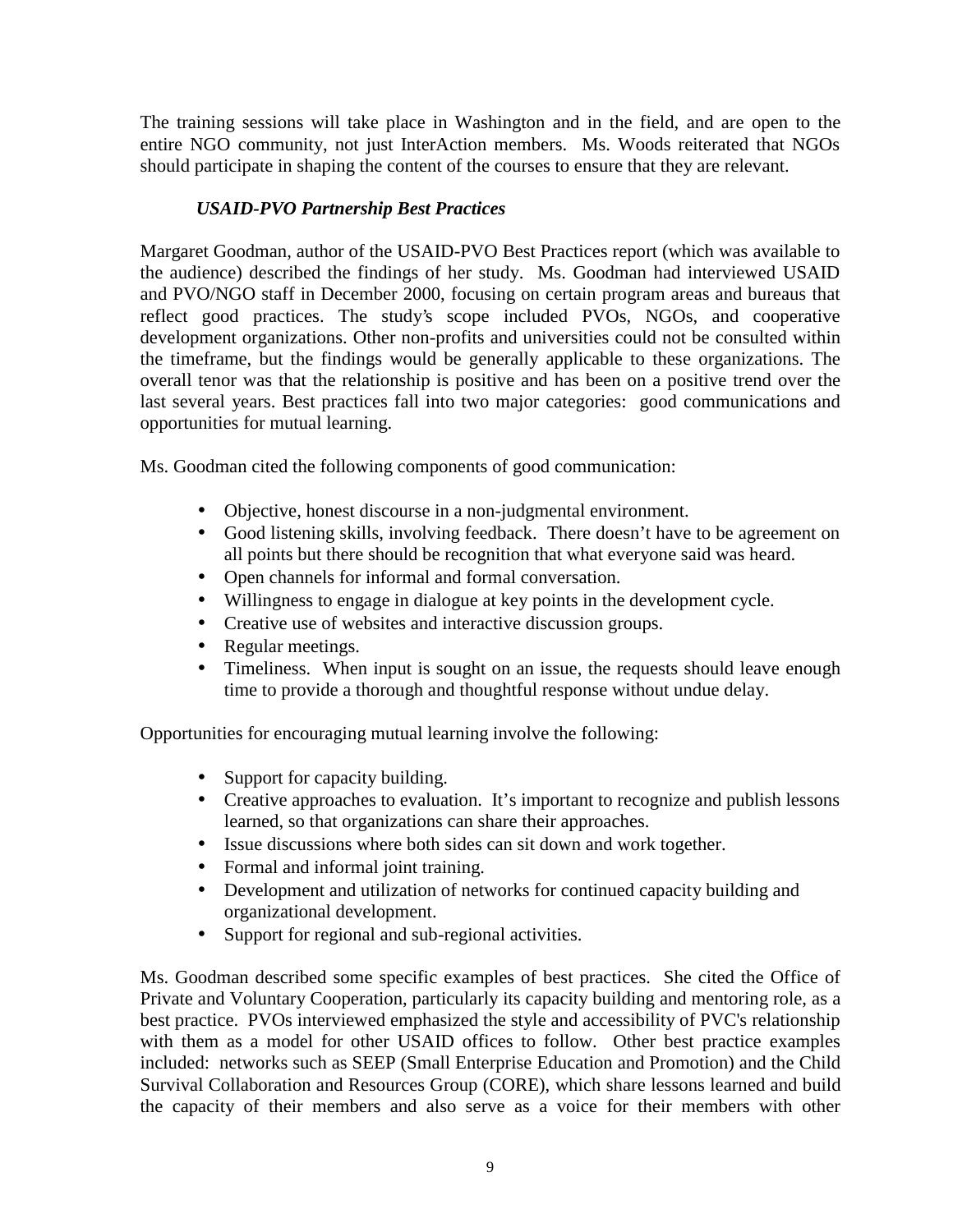The training sessions will take place in Washington and in the field, and are open to the entire NGO community, not just InterAction members. Ms. Woods reiterated that NGOs should participate in shaping the content of the courses to ensure that they are relevant.

# *USAID-PVO Partnership Best Practices*

Margaret Goodman, author of the USAID-PVO Best Practices report (which was available to the audience) described the findings of her study. Ms. Goodman had interviewed USAID and PVO/NGO staff in December 2000, focusing on certain program areas and bureaus that reflect good practices. The study's scope included PVOs, NGOs, and cooperative development organizations. Other non-profits and universities could not be consulted within the timeframe, but the findings would be generally applicable to these organizations. The overall tenor was that the relationship is positive and has been on a positive trend over the last several years. Best practices fall into two major categories: good communications and opportunities for mutual learning.

Ms. Goodman cited the following components of good communication:

- Objective, honest discourse in a non-judgmental environment.
- Good listening skills, involving feedback. There doesn't have to be agreement on all points but there should be recognition that what everyone said was heard.
- Open channels for informal and formal conversation.
- Willingness to engage in dialogue at key points in the development cycle.
- Creative use of websites and interactive discussion groups.
- Regular meetings.
- Timeliness. When input is sought on an issue, the requests should leave enough time to provide a thorough and thoughtful response without undue delay.

Opportunities for encouraging mutual learning involve the following:

- Support for capacity building.
- Creative approaches to evaluation. It's important to recognize and publish lessons learned, so that organizations can share their approaches.
- Issue discussions where both sides can sit down and work together.
- Formal and informal joint training.
- Development and utilization of networks for continued capacity building and organizational development.
- Support for regional and sub-regional activities.

Ms. Goodman described some specific examples of best practices. She cited the Office of Private and Voluntary Cooperation, particularly its capacity building and mentoring role, as a best practice. PVOs interviewed emphasized the style and accessibility of PVC's relationship with them as a model for other USAID offices to follow. Other best practice examples included: networks such as SEEP (Small Enterprise Education and Promotion) and the Child Survival Collaboration and Resources Group (CORE), which share lessons learned and build the capacity of their members and also serve as a voice for their members with other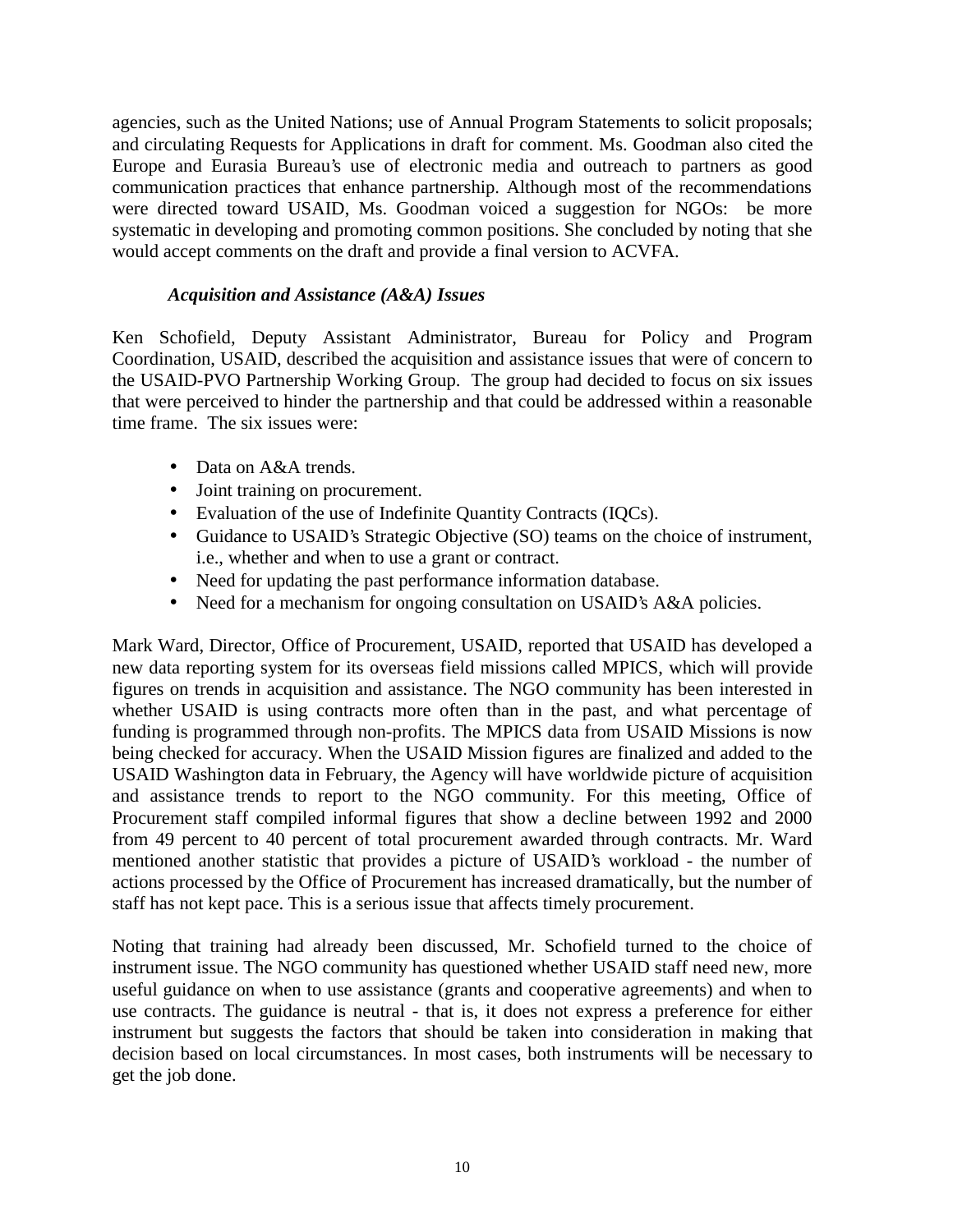agencies, such as the United Nations; use of Annual Program Statements to solicit proposals; and circulating Requests for Applications in draft for comment. Ms. Goodman also cited the Europe and Eurasia Bureau's use of electronic media and outreach to partners as good communication practices that enhance partnership. Although most of the recommendations were directed toward USAID, Ms. Goodman voiced a suggestion for NGOs: be more systematic in developing and promoting common positions. She concluded by noting that she would accept comments on the draft and provide a final version to ACVFA.

### *Acquisition and Assistance (A&A) Issues*

Ken Schofield, Deputy Assistant Administrator, Bureau for Policy and Program Coordination, USAID, described the acquisition and assistance issues that were of concern to the USAID-PVO Partnership Working Group. The group had decided to focus on six issues that were perceived to hinder the partnership and that could be addressed within a reasonable time frame. The six issues were:

- Data on A&A trends.
- Joint training on procurement.
- Evaluation of the use of Indefinite Quantity Contracts (IQCs).
- Guidance to USAID's Strategic Objective (SO) teams on the choice of instrument, i.e., whether and when to use a grant or contract.
- Need for updating the past performance information database.
- Need for a mechanism for ongoing consultation on USAID's A&A policies.

Mark Ward, Director, Office of Procurement, USAID, reported that USAID has developed a new data reporting system for its overseas field missions called MPICS, which will provide figures on trends in acquisition and assistance. The NGO community has been interested in whether USAID is using contracts more often than in the past, and what percentage of funding is programmed through non-profits. The MPICS data from USAID Missions is now being checked for accuracy. When the USAID Mission figures are finalized and added to the USAID Washington data in February, the Agency will have worldwide picture of acquisition and assistance trends to report to the NGO community. For this meeting, Office of Procurement staff compiled informal figures that show a decline between 1992 and 2000 from 49 percent to 40 percent of total procurement awarded through contracts. Mr. Ward mentioned another statistic that provides a picture of USAID's workload - the number of actions processed by the Office of Procurement has increased dramatically, but the number of staff has not kept pace. This is a serious issue that affects timely procurement.

Noting that training had already been discussed, Mr. Schofield turned to the choice of instrument issue. The NGO community has questioned whether USAID staff need new, more useful guidance on when to use assistance (grants and cooperative agreements) and when to use contracts. The guidance is neutral - that is, it does not express a preference for either instrument but suggests the factors that should be taken into consideration in making that decision based on local circumstances. In most cases, both instruments will be necessary to get the job done.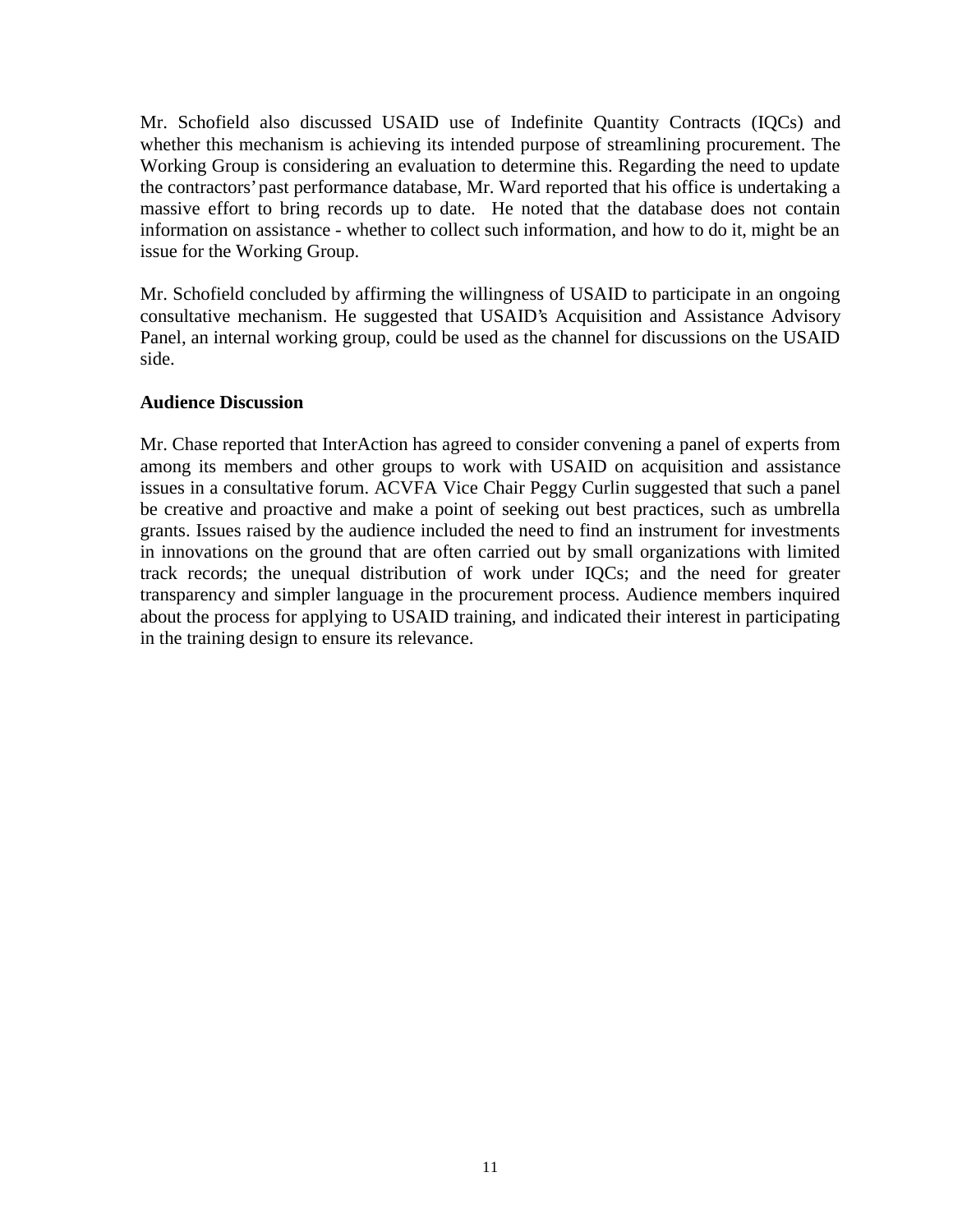Mr. Schofield also discussed USAID use of Indefinite Quantity Contracts (IQCs) and whether this mechanism is achieving its intended purpose of streamlining procurement. The Working Group is considering an evaluation to determine this. Regarding the need to update the contractors' past performance database, Mr. Ward reported that his office is undertaking a massive effort to bring records up to date. He noted that the database does not contain information on assistance - whether to collect such information, and how to do it, might be an issue for the Working Group.

Mr. Schofield concluded by affirming the willingness of USAID to participate in an ongoing consultative mechanism. He suggested that USAID's Acquisition and Assistance Advisory Panel, an internal working group, could be used as the channel for discussions on the USAID side.

### **Audience Discussion**

Mr. Chase reported that InterAction has agreed to consider convening a panel of experts from among its members and other groups to work with USAID on acquisition and assistance issues in a consultative forum. ACVFA Vice Chair Peggy Curlin suggested that such a panel be creative and proactive and make a point of seeking out best practices, such as umbrella grants. Issues raised by the audience included the need to find an instrument for investments in innovations on the ground that are often carried out by small organizations with limited track records; the unequal distribution of work under IQCs; and the need for greater transparency and simpler language in the procurement process. Audience members inquired about the process for applying to USAID training, and indicated their interest in participating in the training design to ensure its relevance.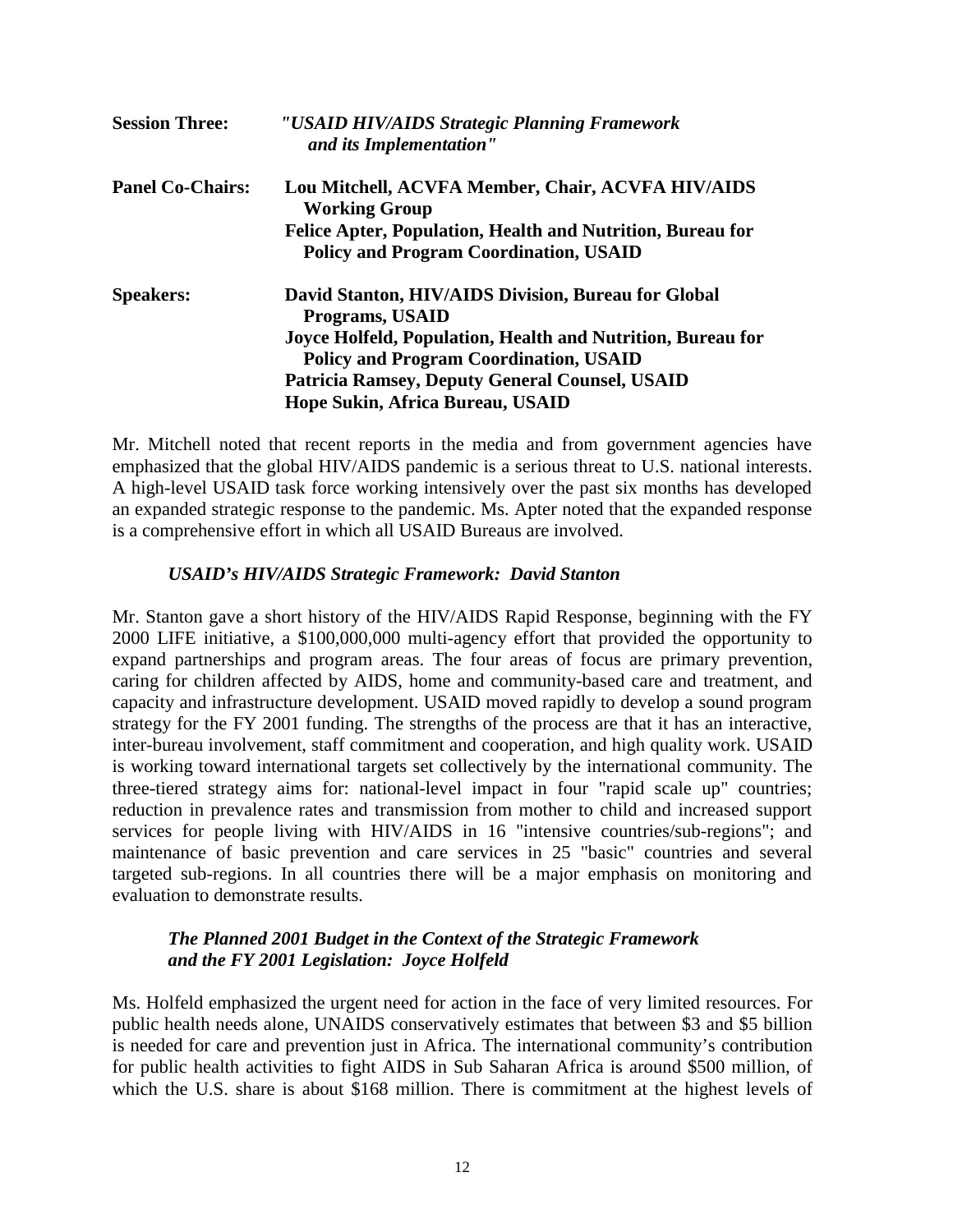| <b>Session Three:</b>   | "USAID HIV/AIDS Strategic Planning Framework<br>and its Implementation"                                            |
|-------------------------|--------------------------------------------------------------------------------------------------------------------|
| <b>Panel Co-Chairs:</b> | Lou Mitchell, ACVFA Member, Chair, ACVFA HIV/AIDS<br><b>Working Group</b>                                          |
|                         | <b>Felice Apter, Population, Health and Nutrition, Bureau for</b><br><b>Policy and Program Coordination, USAID</b> |
| <b>Speakers:</b>        | David Stanton, HIV/AIDS Division, Bureau for Global<br><b>Programs, USAID</b>                                      |
|                         | Joyce Holfeld, Population, Health and Nutrition, Bureau for<br><b>Policy and Program Coordination, USAID</b>       |
|                         | <b>Patricia Ramsey, Deputy General Counsel, USAID</b><br>Hope Sukin, Africa Bureau, USAID                          |

Mr. Mitchell noted that recent reports in the media and from government agencies have emphasized that the global HIV/AIDS pandemic is a serious threat to U.S. national interests. A high-level USAID task force working intensively over the past six months has developed an expanded strategic response to the pandemic. Ms. Apter noted that the expanded response is a comprehensive effort in which all USAID Bureaus are involved.

### *USAID's HIV/AIDS Strategic Framework: David Stanton*

Mr. Stanton gave a short history of the HIV/AIDS Rapid Response, beginning with the FY 2000 LIFE initiative, a \$100,000,000 multi-agency effort that provided the opportunity to expand partnerships and program areas. The four areas of focus are primary prevention, caring for children affected by AIDS, home and community-based care and treatment, and capacity and infrastructure development. USAID moved rapidly to develop a sound program strategy for the FY 2001 funding. The strengths of the process are that it has an interactive, inter-bureau involvement, staff commitment and cooperation, and high quality work. USAID is working toward international targets set collectively by the international community. The three-tiered strategy aims for: national-level impact in four "rapid scale up" countries; reduction in prevalence rates and transmission from mother to child and increased support services for people living with HIV/AIDS in 16 "intensive countries/sub-regions"; and maintenance of basic prevention and care services in 25 "basic" countries and several targeted sub-regions. In all countries there will be a major emphasis on monitoring and evaluation to demonstrate results.

# *The Planned 2001 Budget in the Context of the Strategic Framework and the FY 2001 Legislation: Joyce Holfeld*

Ms. Holfeld emphasized the urgent need for action in the face of very limited resources. For public health needs alone, UNAIDS conservatively estimates that between \$3 and \$5 billion is needed for care and prevention just in Africa. The international community's contribution for public health activities to fight AIDS in Sub Saharan Africa is around \$500 million, of which the U.S. share is about \$168 million. There is commitment at the highest levels of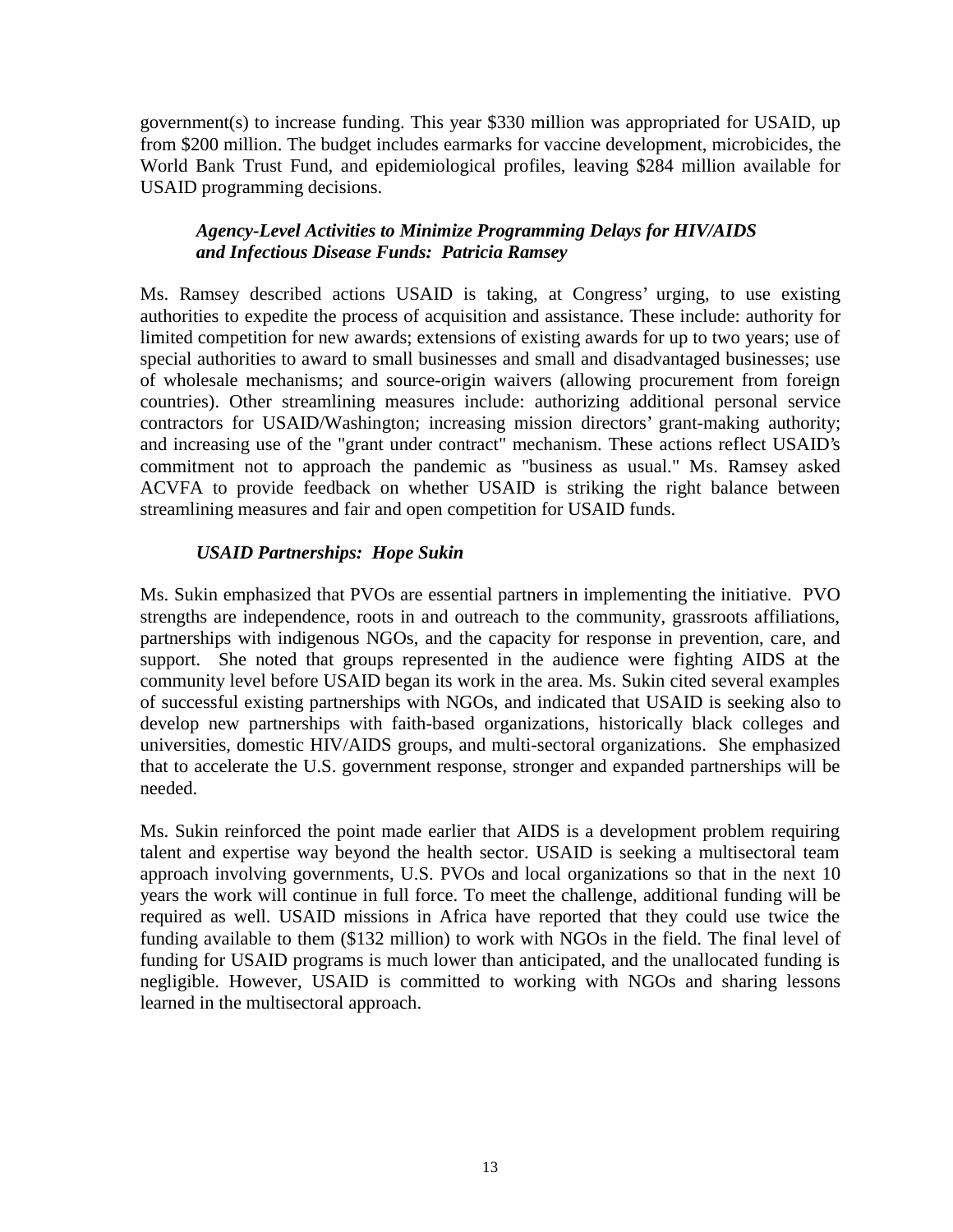government(s) to increase funding. This year \$330 million was appropriated for USAID, up from \$200 million. The budget includes earmarks for vaccine development, microbicides, the World Bank Trust Fund, and epidemiological profiles, leaving \$284 million available for USAID programming decisions.

### *Agency-Level Activities to Minimize Programming Delays for HIV/AIDS and Infectious Disease Funds: Patricia Ramsey*

Ms. Ramsey described actions USAID is taking, at Congress' urging, to use existing authorities to expedite the process of acquisition and assistance. These include: authority for limited competition for new awards; extensions of existing awards for up to two years; use of special authorities to award to small businesses and small and disadvantaged businesses; use of wholesale mechanisms; and source-origin waivers (allowing procurement from foreign countries). Other streamlining measures include: authorizing additional personal service contractors for USAID/Washington; increasing mission directors' grant-making authority; and increasing use of the "grant under contract" mechanism. These actions reflect USAID's commitment not to approach the pandemic as "business as usual." Ms. Ramsey asked ACVFA to provide feedback on whether USAID is striking the right balance between streamlining measures and fair and open competition for USAID funds.

# *USAID Partnerships: Hope Sukin*

Ms. Sukin emphasized that PVOs are essential partners in implementing the initiative. PVO strengths are independence, roots in and outreach to the community, grassroots affiliations, partnerships with indigenous NGOs, and the capacity for response in prevention, care, and support. She noted that groups represented in the audience were fighting AIDS at the community level before USAID began its work in the area. Ms. Sukin cited several examples of successful existing partnerships with NGOs, and indicated that USAID is seeking also to develop new partnerships with faith-based organizations, historically black colleges and universities, domestic HIV/AIDS groups, and multi-sectoral organizations. She emphasized that to accelerate the U.S. government response, stronger and expanded partnerships will be needed.

Ms. Sukin reinforced the point made earlier that AIDS is a development problem requiring talent and expertise way beyond the health sector. USAID is seeking a multisectoral team approach involving governments, U.S. PVOs and local organizations so that in the next 10 years the work will continue in full force. To meet the challenge, additional funding will be required as well. USAID missions in Africa have reported that they could use twice the funding available to them (\$132 million) to work with NGOs in the field. The final level of funding for USAID programs is much lower than anticipated, and the unallocated funding is negligible. However, USAID is committed to working with NGOs and sharing lessons learned in the multisectoral approach.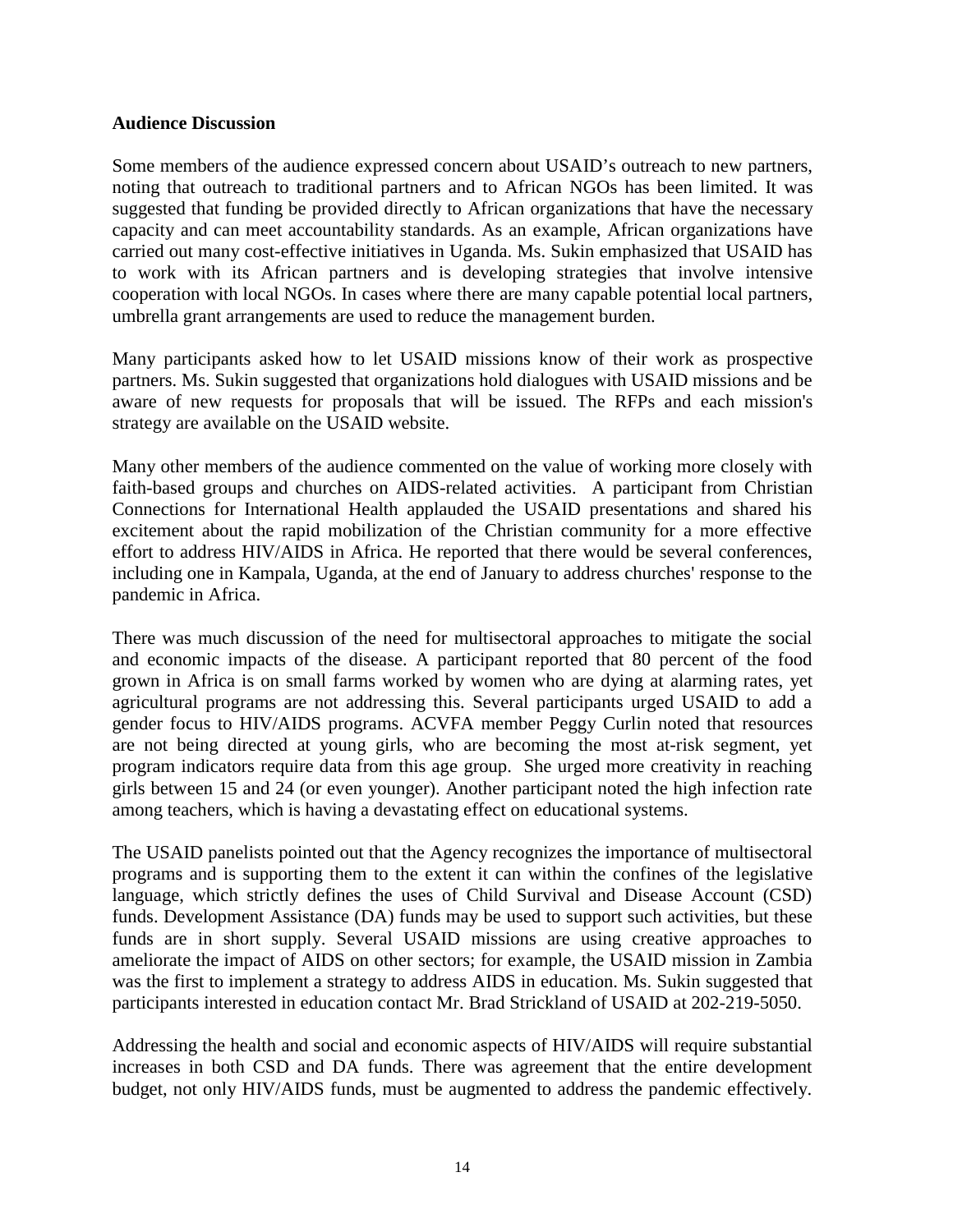#### **Audience Discussion**

Some members of the audience expressed concern about USAID's outreach to new partners, noting that outreach to traditional partners and to African NGOs has been limited. It was suggested that funding be provided directly to African organizations that have the necessary capacity and can meet accountability standards. As an example, African organizations have carried out many cost-effective initiatives in Uganda. Ms. Sukin emphasized that USAID has to work with its African partners and is developing strategies that involve intensive cooperation with local NGOs. In cases where there are many capable potential local partners, umbrella grant arrangements are used to reduce the management burden.

Many participants asked how to let USAID missions know of their work as prospective partners. Ms. Sukin suggested that organizations hold dialogues with USAID missions and be aware of new requests for proposals that will be issued. The RFPs and each mission's strategy are available on the USAID website.

Many other members of the audience commented on the value of working more closely with faith-based groups and churches on AIDS-related activities. A participant from Christian Connections for International Health applauded the USAID presentations and shared his excitement about the rapid mobilization of the Christian community for a more effective effort to address HIV/AIDS in Africa. He reported that there would be several conferences, including one in Kampala, Uganda, at the end of January to address churches' response to the pandemic in Africa.

There was much discussion of the need for multisectoral approaches to mitigate the social and economic impacts of the disease. A participant reported that 80 percent of the food grown in Africa is on small farms worked by women who are dying at alarming rates, yet agricultural programs are not addressing this. Several participants urged USAID to add a gender focus to HIV/AIDS programs. ACVFA member Peggy Curlin noted that resources are not being directed at young girls, who are becoming the most at-risk segment, yet program indicators require data from this age group. She urged more creativity in reaching girls between 15 and 24 (or even younger). Another participant noted the high infection rate among teachers, which is having a devastating effect on educational systems.

The USAID panelists pointed out that the Agency recognizes the importance of multisectoral programs and is supporting them to the extent it can within the confines of the legislative language, which strictly defines the uses of Child Survival and Disease Account (CSD) funds. Development Assistance (DA) funds may be used to support such activities, but these funds are in short supply. Several USAID missions are using creative approaches to ameliorate the impact of AIDS on other sectors; for example, the USAID mission in Zambia was the first to implement a strategy to address AIDS in education. Ms. Sukin suggested that participants interested in education contact Mr. Brad Strickland of USAID at 202-219-5050.

Addressing the health and social and economic aspects of HIV/AIDS will require substantial increases in both CSD and DA funds. There was agreement that the entire development budget, not only HIV/AIDS funds, must be augmented to address the pandemic effectively.